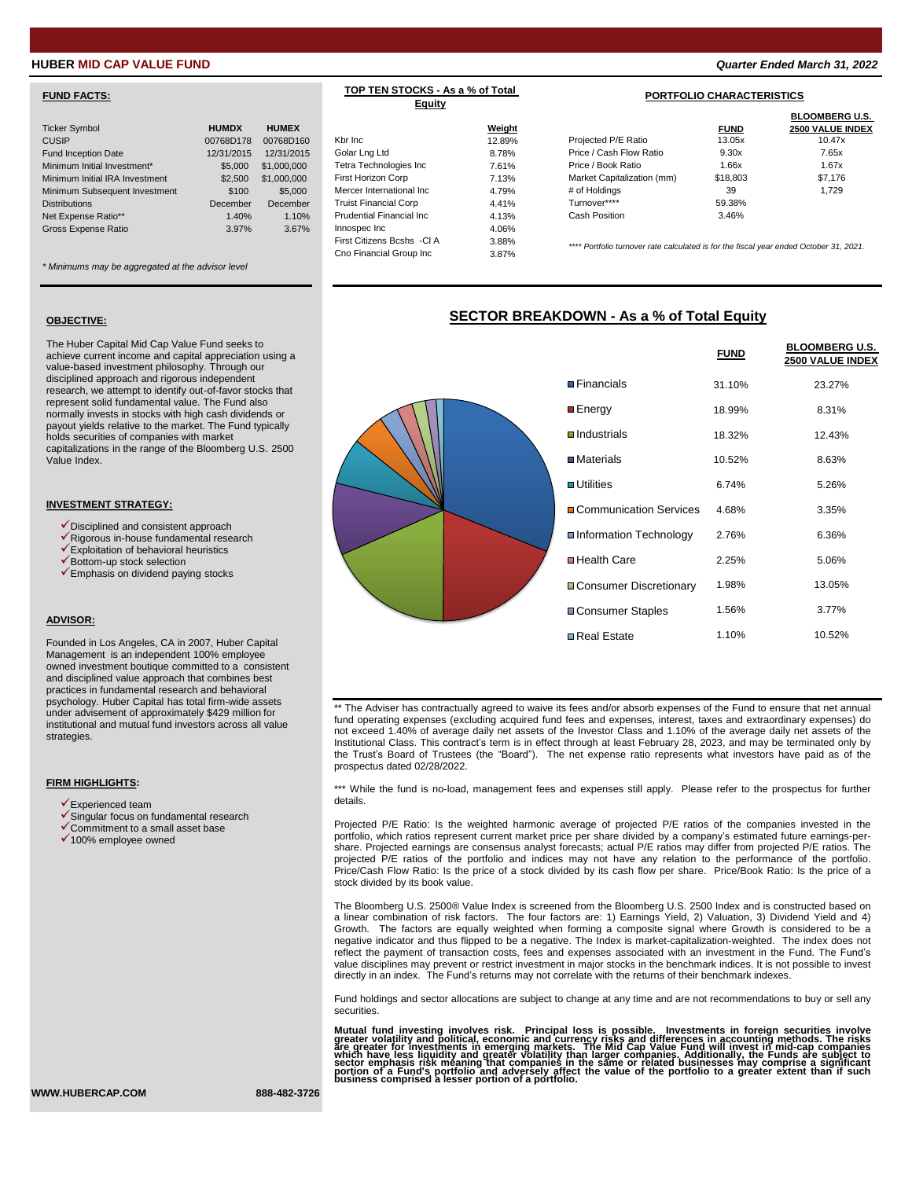## **FUND FACTS:**

| <b>Ticker Symbol</b>           | <b>HUMDX</b> | <b>HUMEX</b> |                                                                            | Weight |
|--------------------------------|--------------|--------------|----------------------------------------------------------------------------|--------|
| <b>CUSIP</b>                   | 00768D178    | 00768D160    | Kbr Inc                                                                    | 12.89% |
| Fund Inception Date            | 12/31/2015   | 12/31/2015   | Golar Lng Ltd                                                              | 8.78%  |
| Minimum Initial Investment*    | \$5,000      | \$1,000,000  | Tetra Technologies Inc                                                     | 7.61%  |
| Minimum Initial IRA Investment | \$2,500      | \$1,000,000  | <b>First Horizon Corp</b>                                                  | 7.13%  |
| Minimum Subsequent Investment  | \$100        | \$5,000      | Mercer International Inc.                                                  | 4.79%  |
| <b>Distributions</b>           | December     | December     | <b>Truist Financial Corp</b>                                               | 4.41%  |
| Net Expense Ratio**            | 1.40%        | 1.10%        | <b>Prudential Financial Inc.</b>                                           | 4.13%  |
| Gross Expense Ratio            | 3.97%        | 3.67%        | Innospec Inc                                                               | 4.06%  |
|                                |              |              | $\Gamma_{n+1}$ $\Omega_{n+1}$ $\Omega_{n+2}$ $\Omega_{n+1}$ $\Omega_{n+1}$ | 0.0001 |

*\* Minimums may be aggregated at the advisor level*

## **OBJECTIVE:**

The Huber Capital Mid Cap Value Fund seeks to achieve current income and capital appreciation using a value-based investment philosophy. Through our disciplined approach and rigorous independent research, we attempt to identify out-of-favor stocks that represent solid fundamental value. The Fund also normally invests in stocks with high cash dividends or payout yields relative to the market. The Fund typically holds securities of companies with market capitalizations in the range of the Bloomberg U.S. 2500 Value Index.

#### **INVESTMENT STRATEGY:**

- ✓Disciplined and consistent approach
- ✓Rigorous in-house fundamental research
- ✓Exploitation of behavioral heuristics ✓Bottom-up stock selection
- ✓Emphasis on dividend paying stocks
- 

#### **ADVISOR:**

Founded in Los Angeles, CA in 2007, Huber Capital Management is an independent 100% employee owned investment boutique committed to a consistent and disciplined value approach that combines best practices in fundamental research and behavioral psychology. Huber Capital has total firm-wide assets under advisement of approximately \$429 million for institutional and mutual fund investors across all value strategies.

#### **FIRM HIGHLIGHTS:**

- $\checkmark$  Experienced team
- ✓Singular focus on fundamental research
- ✓Commitment to a small asset base
- ✓100% employee owned

## **TOP TEN STOCKS - As a % of Total Equity**

|                                  | Weight |                                                                                        | <b>FUND</b> | <b>BLOOMBERG U.S.</b><br>2500 VALUE INDEX |
|----------------------------------|--------|----------------------------------------------------------------------------------------|-------------|-------------------------------------------|
| Kbr Inc.                         | 12.89% | Projected P/E Ratio                                                                    | 13.05x      | 10.47x                                    |
| Golar Lng Ltd                    | 8.78%  | Price / Cash Flow Ratio                                                                | 9.30x       | 7.65x                                     |
| Tetra Technologies Inc           | 7.61%  | Price / Book Ratio                                                                     | 1.66x       | 1.67x                                     |
| First Horizon Corp               | 7.13%  | Market Capitalization (mm)                                                             | \$18,803    | \$7.176                                   |
| Mercer International Inc         | 4.79%  | # of Holdings                                                                          | 39          | 1.729                                     |
| <b>Truist Financial Corp</b>     | 4.41%  | Turnover****                                                                           | 59.38%      |                                           |
| <b>Prudential Financial Inc.</b> | 4.13%  | Cash Position                                                                          | 3.46%       |                                           |
| Innospec Inc                     | 4.06%  |                                                                                        |             |                                           |
| First Citizens Bcshs - CI A      | 3.88%  |                                                                                        |             |                                           |
| Cno Financial Group Inc          | 3.87%  | **** Portfolio turnover rate calculated is for the fiscal year ended October 31, 2021. |             |                                           |

## **SECTOR BREAKDOWN - As a % of Total Equity**

| <b>D</b> Fina        |
|----------------------|
| $E$ ne               |
| $\blacksquare$ Indu  |
| $\blacksquare$ Mat   |
| $\blacksquare$ Utili |
| $\Box$ Cor           |
| $\blacksquare$ Info  |
| Hee                  |
| $\Box$ Cor           |
| $\Box$ Cor           |
| $\n  Re$             |

|  |                                 | <b>FUND</b> | <b>BLOOMBERG U.S.</b><br>2500 VALUE INDEX |
|--|---------------------------------|-------------|-------------------------------------------|
|  | $\blacksquare$ Financials       | 31.10%      | 23.27%                                    |
|  | ■Energy                         | 18.99%      | 8.31%                                     |
|  | $\Box$ Industrials              | 18.32%      | 12.43%                                    |
|  | $\blacksquare$ Materials        | 10.52%      | 8.63%                                     |
|  | $\blacksquare$ Utilities        | 6.74%       | 5.26%                                     |
|  | ■ Communication Services        | 4.68%       | 3.35%                                     |
|  | <b>■Information Technology</b>  | 2.76%       | 6.36%                                     |
|  | <b>□</b> Health Care            | 2.25%       | 5.06%                                     |
|  | <b>□ Consumer Discretionary</b> | 1.98%       | 13.05%                                    |
|  | ■Consumer Staples               | 1.56%       | 3.77%                                     |
|  | <b>□</b> Real Estate            | 1.10%       | 10.52%                                    |

\*\* The Adviser has contractually agreed to waive its fees and/or absorb expenses of the Fund to ensure that net annual fund operating expenses (excluding acquired fund fees and expenses, interest, taxes and extraordinary expenses) do not exceed 1.40% of average daily net assets of the Investor Class and 1.10% of the average daily net assets of the Institutional Class. This contract's term is in effect through at least February 28, 2023, and may be terminated only by the Trust's Board of Trustees (the "Board"). The net expense ratio represents what investors have paid as of the prospectus dated 02/28/2022.

\*\*\* While the fund is no-load, management fees and expenses still apply. Please refer to the prospectus for further details.

Projected P/E Ratio: Is the weighted harmonic average of projected P/E ratios of the companies invested in the portfolio, which ratios represent current market price per share divided by a company's estimated future earnings-pershare. Projected earnings are consensus analyst forecasts; actual P/E ratios may differ from projected P/E ratios. The projected P/E ratios of the portfolio and indices may not have any relation to the performance of the portfolio.<br>Price/Cash Flow Ratio: Is the price of a stock divided by its cash flow per share. Price/Book Ratio: Is the p stock divided by its book value.

The Bloomberg U.S. 2500® Value Index is screened from the Bloomberg U.S. 2500 Index and is constructed based on a linear combination of risk factors. The four factors are: 1) Earnings Yield, 2) Valuation, 3) Dividend Yield and 4)<br>Growth. The factors are equally weighted when forming a composite signal where Growth is considered to b negative indicator and thus flipped to be a negative. The Index is market-capitalization-weighted. The index does not reflect the payment of transaction costs, fees and expenses associated with an investment in the Fund. The Fund's value disciplines may prevent or restrict investment in major stocks in the benchmark indices. It is not possible to invest directly in an index. The Fund's returns may not correlate with the returns of their benchmark indexes.

Fund holdings and sector allocations are subject to change at any time and are not recommendations to buy or sell any securities.

Mutual fund investing involves risk. Principal loss is possible. Investments in foreign securities involves predictional degree and currency risks and differences in accounting meturities involved are greater for investmen

**WWW.HUBERCAP.COM 888-482-3726**

**HUBER MID CAP VALUE FUND** *Quarter Ended March 31, 2022*

## **PORTFOLIO CHARACTERISTICS**